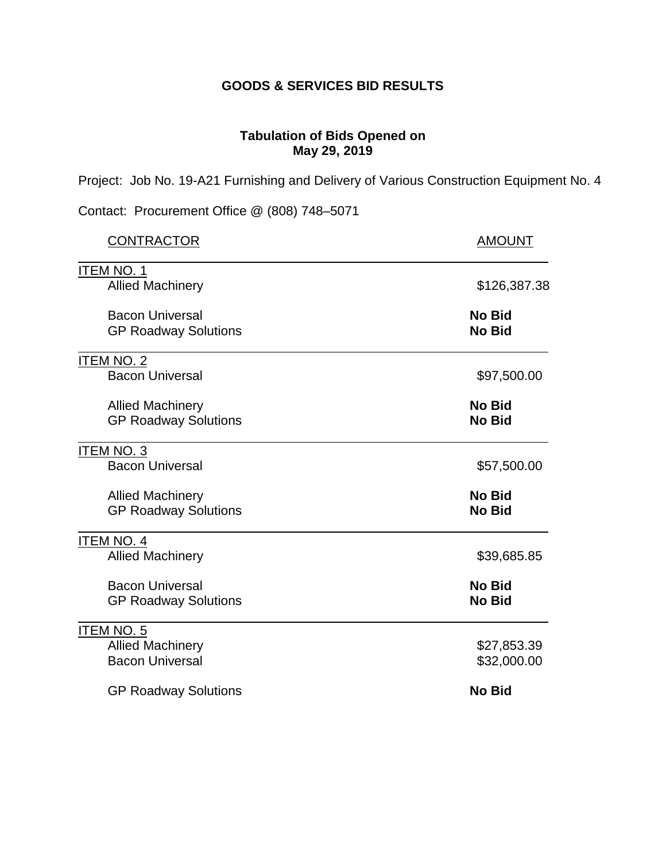## **GOODS & SERVICES BID RESULTS**

## **Tabulation of Bids Opened on May 29, 2019**

Project: Job No. 19-A21 Furnishing and Delivery of Various Construction Equipment No. 4

Contact: Procurement Office @ (808) 748–5071

| <b>CONTRACTOR</b>                                      | <b>AMOUNT</b>           |
|--------------------------------------------------------|-------------------------|
| <b>ITEM NO. 1</b>                                      |                         |
| <b>Allied Machinery</b>                                | \$126,387.38            |
| <b>Bacon Universal</b><br><b>GP Roadway Solutions</b>  | No Bid<br><b>No Bid</b> |
| <b>ITEM NO. 2</b>                                      |                         |
| <b>Bacon Universal</b>                                 | \$97,500.00             |
| <b>Allied Machinery</b>                                | No Bid                  |
| <b>GP Roadway Solutions</b>                            | No Bid                  |
| ITEM NO. 3                                             |                         |
| <b>Bacon Universal</b>                                 | \$57,500.00             |
| <b>Allied Machinery</b><br><b>GP Roadway Solutions</b> | No Bid<br><b>No Bid</b> |
| <b>ITEM NO. 4</b>                                      |                         |
| <b>Allied Machinery</b>                                | \$39,685.85             |
| <b>Bacon Universal</b>                                 | No Bid                  |
| <b>GP Roadway Solutions</b>                            | No Bid                  |
| <b>ITEM NO. 5</b>                                      |                         |
| <b>Allied Machinery</b>                                | \$27,853.39             |
| <b>Bacon Universal</b>                                 | \$32,000.00             |
| <b>GP Roadway Solutions</b>                            | <b>No Bid</b>           |